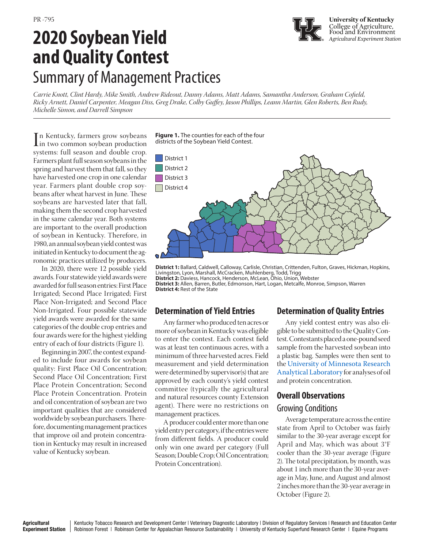# **2020 Soybean Yield and Quality Contest**  Summary of Management Practices

*Carrie Knott, Clint Hardy, Mike Smith, Andrew Rideout, Danny Adams, Matt Adams, Samantha Anderson, Graham Cofield, Ricky Arnett, Daniel Carpenter, Meagan Diss, Greg Drake, Colby Guffey, Jason Phillips, Leann Martin, Glen Roberts, Ben Rudy, Michelle Simon, and Darrell Simpson*

In Kentucky, farmers grow soybeans<br>in two common soybean production<br>systems: full season and double cron n Kentucky, farmers grow soybeans systems: full season and double crop. Farmers plant full season soybeans in the spring and harvest them that fall, so they have harvested one crop in one calendar year. Farmers plant double crop soybeans after wheat harvest in June. These soybeans are harvested later that fall, making them the second crop harvested in the same calendar year. Both systems are important to the overall production of soybean in Kentucky. Therefore, in 1980, an annual soybean yield contest was initiated in Kentucky to document the agronomic practices utilized by producers.

In 2020, there were 12 possible yield awards. Four statewide yield awards were awarded for full season entries: First Place Irrigated; Second Place Irrigated; First Place Non-Irrigated; and Second Place Non-Irrigated. Four possible statewide yield awards were awarded for the same categories of the double crop entries and four awards were for the highest yielding entry of each of four districts (Figure 1).

Beginning in 2007, the contest expanded to include four awards for soybean quality: First Place Oil Concentration; Second Place Oil Concentration; First Place Protein Concentration; Second Place Protein Concentration. Protein and oil concentration of soybean are two important qualities that are considered worldwide by soybean purchasers. Therefore, documenting management practices that improve oil and protein concentration in Kentucky may result in increased value of Kentucky soybean.

**Figure 1.** The counties for each of the four districts of the Soybean Yield Contest.



**District 1:** Ballard, Caldwell, Calloway, Carlisle, Christian, Crittenden, Fulton, Graves, Hickman, Hopkins, Livingston, Lyon, Marshall, McCracken, Muhlenberg, Todd, Trigg **District 2:** Daviess, Hancock, Henderson, McLean, Ohio, Union, Webster

**District 3:** Allen, Barren, Butler, Edmonson, Hart, Logan, Metcalfe, Monroe, Simpson, Warren **District 4:** Rest of the State

# **Determination of Yield Entries**

Any farmer who produced ten acres or more of soybean in Kentucky was eligible to enter the contest. Each contest field was at least ten continuous acres, with a minimum of three harvested acres. Field measurement and yield determination were determined by supervisor(s) that are approved by each county's yield contest committee (typically the agricultural and natural resources county Extension agent). There were no restrictions on management practices.

A producer could enter more than one yield entry per category, if the entries were from different fields. A producer could only win one award per category (Full Season; Double Crop; Oil Concentration; Protein Concentration).

# **Determination of Quality Entries**

Any yield contest entry was also eligible to be submitted to the Quality Contest. Contestants placed a one-pound seed sample from the harvested soybean into a plastic bag. Samples were then sent to the [University of Minnesota Research](http://ral.cfans.umn.edu/tests-analysis/soybean-analysis) [Analytical Laboratory](http://ral.cfans.umn.edu/tests-analysis/soybean-analysis) for analyses of oil and protein concentration.

# **Overall Observations** Growing Conditions

Average temperature across the entire state from April to October was fairly similar to the 30-year average except for April and May, which was about 3°F cooler than the 30-year average (Figure 2). The total precipitation, by month, was about 1 inch more than the 30-year average in May, June, and August and almost 2 inches more than the 30-year average in October (Figure 2).

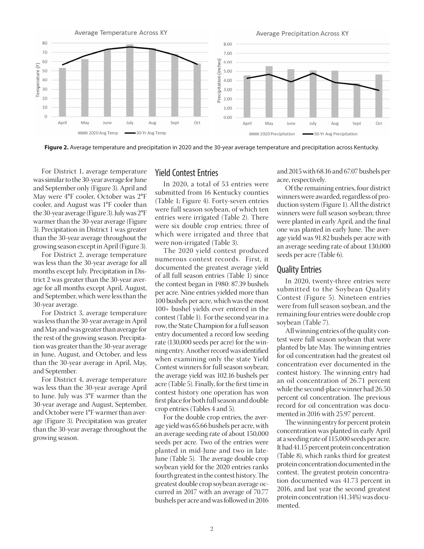

**Figure 2.** Average temperature and precipitation in 2020 and the 30-year average temperature and precipitation across Kentucky.

For District 1, average temperature was similar to the 30-year average for June and September only (Figure 3). April and May were 4°F cooler, October was 2°F cooler, and August was 1°F cooler than the 30-year average (Figure 3). July was 2°F warmer than the 30-year average (Figure 3). Precipitation in District 1 was greater than the 30-year average throughout the growing season except in April (Figure 3).

For District 2, average temperature was less than the 30-year average for all months except July. Precipitation in Dis-<br>
of all full coasen optrios (Table 1) age for all months except April, August, The contest began in 1980: 87.39 bt and September, which were less than the<br>20 season was 30-year average.

was less than the 30-year average in April and May and was greater than average for the rest of the growing season. Precipitation was greater than the 30-year average in June, August, and October, and less than the 30-year average in April, May, and September.

For District 4, average temperature was less than the 30-year average April to June. July was 3°F warmer than the 30-year average and August, September, and October were 1°F warmer than average (Figure 3). Precipitation was greater than the 30-year average throughout the growing season.

### Yield Contest Entries

In 2020, a total of 53 entries were  $\overrightarrow{O}_{\text{If the remain}}$ submitted from 16 Kentucky counties (Table 1; Figure 4). Forty-seven entries were full season soybean, of which ten and Colomby Security and Castrollate in the season soverage. entries were irrigated (Table 2). There were six double crop entries; three of which were irrigated and three that were non-irrigated (Table 3).

trict 2 was greater than the 30-year aver-<br>the contect began in 1980, 87.39 bushels  $\frac{F_{\text{tot}}}{F_{\text{tot}}}$  For District 3, average temperature  $\frac{100+}{\text{cutoff}}$  Ushell  $\frac{100}{\text{cutoff}}$  For the second vext The 2020 yield contest produced numerous contest records. First, it documented the greatest average yield of all full season entries (Table 1) since the contest began in 1980: 87.39 bushels and September which were less than the per acre. Nine entries yielded more than 100 bushels per acre, which was the most 100+ bushel yields ever entered in the was less than the 30-year average in April contest (Table 1). For the second year in a was resolutant the 30-year average in April, the State Champion for a full season entry documented a record low seeding rate (130,000 seeds per acre) for the winning entry. Another record was identified when examining only the state Yield Contest winners for full season soybean; the average yield was 102.16 bushels per acre (Table 5). Finally, for the first time in contest history one operation has won first place for both full season and double crop entries (Tables 4 and 5).

> For the double crop entries, the average yield was 65.66 bushels per acre, with an average seeding rate of about 150,000 seeds per acre. Two of the entries were planted in mid-June and two in late-June (Table 5). The average double crop soybean yield for the 2020 entries ranks fourth greatest in the contest history. The greatest double crop soybean average occurred in 2017 with an average of 70.77 bushels per acre and was followed in 2016

ies and 2015 with 68.16 and 67.07 bushels per  $\frac{1}{2}$  acre, respectively.

Of the remaining entries, four district ucky counties<br>coven ontrict vinners were awarded, regardless of pro-Forty-seven entries<br>wheen of which top duction system (Figure 1). All the district winners were full season soybean; three were planted in early April, and the final one was planted in early June. The average yield was 91.82 bushels per acre with an average seeding rate of about 130,000 seeds per acre (Table 6).

#### Quality Entries

In 2020, twenty-three entries were submitted to the Soybean Quality Contest (Figure 5). Nineteen entries were from full season soybean, and the remaining four entries were double crop soybean (Table 7).

All winning entries of the quality contest were full season soybean that were planted by late May. The winning entries for oil concentration had the greatest oil concentration ever documented in the contest history. The winning entry had an oil concentration of 26.71 percent while the second-place winner had 26.50 percent oil concentration. The previous record for oil concentration was documented in 2016 with 25.97 percent.

The winning entry for percent protein concentration was planted in early April at a seeding rate of 115,000 seeds per acre. It had 41.15 percent protein concentration (Table 8), which ranks third for greatest protein concentration documented in the contest. The greatest protein concentration documented was 41.73 percent in 2016, and last year the second greatest protein concentration (41.34%) was documented.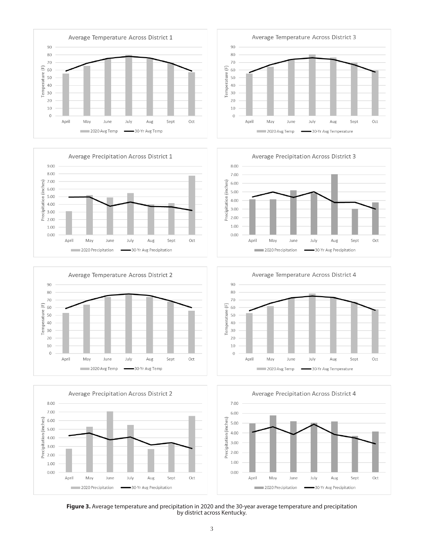















**Figure 3.** Average temperature and precipitation in 2020 and the 30-year average temperature and precipitation by district across Kentucky.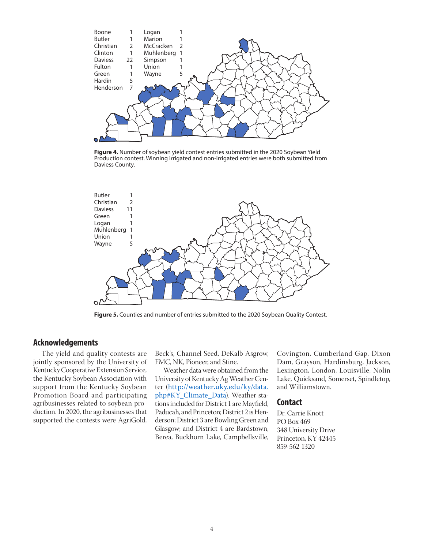

**Figure 4.** Number of soybean yield contest entries submitted in the 2020 Soybean Yield Production contest. Winning irrigated and non-irrigated entries were both submitted from Daviess County.



**Figure 5.** Counties and number of entries submitted to the 2020 Soybean Quality Contest.

#### **Acknowledgements**

The yield and quality contests are jointly sponsored by the University of Kentucky Cooperative Extension Service, the Kentucky Soybean Association with support from the Kentucky Soybean Promotion Board and participating agribusinesses related to soybean production. In 2020, the agribusinesses that supported the contests were AgriGold,

Beck's, Channel Seed, DeKalb Asgrow, FMC, NK, Pioneer, and Stine.

Weather data were obtained from the University of Kentucky Ag Weather Center (http://weather.uky.edu/ky/data. php#KY\_Climate\_Data). Weather stations included for District 1 are Mayfield, Paducah, and Princeton; District 2 is Henderson; District 3 are Bowling Green and Glasgow; and District 4 are Bardstown, Berea, Buckhorn Lake, Campbellsville,

Covington, Cumberland Gap, Dixon Dam, Grayson, Hardinsburg, Jackson, Lexington, London, Louisville, Nolin Lake, Quicksand, Somerset, Spindletop, and Williamstown.

#### **Contact**

Dr. Carrie Knott PO Box 469 348 University Drive Princeton, KY 42445 859-562-1320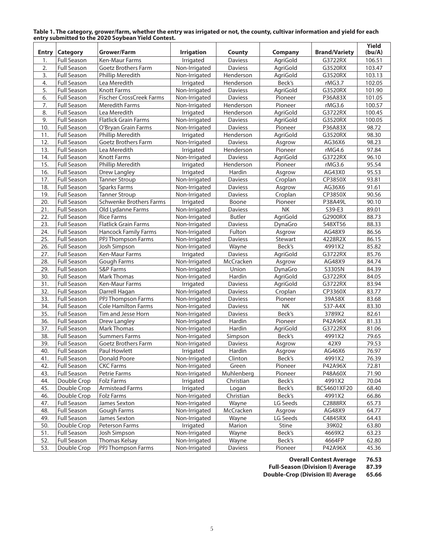|              |                    | Eliti y Sublilitted to the 2020 Soybeall Tield Contest. |                   |                |                |                      | Yield  |
|--------------|--------------------|---------------------------------------------------------|-------------------|----------------|----------------|----------------------|--------|
| <b>Entry</b> | <b>Category</b>    | Grower/Farm                                             | <b>Irrigation</b> | County         | <b>Company</b> | <b>Brand/Variety</b> | (bu/A) |
| 1.           | <b>Full Season</b> | <b>Ken-Maur Farms</b>                                   | Irrigated         | <b>Daviess</b> | AgriGold       | G3722RX              | 106.51 |
| 2.           | <b>Full Season</b> | Goetz Brothers Farm                                     | Non-Irrigated     | Daviess        | AgriGold       | G3520RX              | 103.47 |
| 3.           | <b>Full Season</b> | Phillip Meredith                                        | Non-Irrigated     | Henderson      | AgriGold       | G3520RX              | 103.13 |
| 4.           | <b>Full Season</b> | Lea Meredith                                            | Irrigated         | Henderson      | Beck's         | rMG3.7               | 102.05 |
| 5.           | <b>Full Season</b> | <b>Knott Farms</b>                                      | Non-Irrigated     | <b>Daviess</b> | AgriGold       | G3520RX              | 101.90 |
| 6.           | <b>Full Season</b> | <b>Fischer CrossCreek Farms</b>                         | Non-Irrigated     | Daviess        | Pioneer        | P36A83X              | 101.05 |
| 7.           | <b>Full Season</b> | <b>Meredith Farms</b>                                   | Non-Irrigated     | Henderson      | Pioneer        | rMG3.6               | 100.57 |
| 8.           | <b>Full Season</b> | Lea Meredith                                            | Irrigated         | Henderson      | AgriGold       | G3722RX              | 100.45 |
| 9.           | <b>Full Season</b> | <b>Flatlick Grain Farms</b>                             | Non-Irrigated     | Daviess        | AgriGold       | G3520RX              | 100.05 |
| 10.          | <b>Full Season</b> | O'Bryan Grain Farms                                     | Non-Irrigated     | Daviess        | Pioneer        | P36A83X              | 98.72  |
| 11.          | <b>Full Season</b> | Phillip Meredith                                        | Irrigated         | Henderson      | AgriGold       | G3520RX              | 98.30  |
| 12.          | <b>Full Season</b> | Goetz Brothers Farm                                     | Non-Irrigated     | Daviess        | Asgrow         | AG36X6               | 98.23  |
| 13.          | <b>Full Season</b> | Lea Meredith                                            | Irrigated         | Henderson      | Pioneer        | rMG4.6               | 97.84  |
| 14.          | <b>Full Season</b> | <b>Knott Farms</b>                                      | Non-Irrigated     | Daviess        | AgriGold       | G3722RX              | 96.10  |
| 15.          | Full Season        | Phillip Meredith                                        | Irrigated         | Henderson      | Pioneer        | rMG3.6               | 95.54  |
| 16.          | <b>Full Season</b> | Drew Langley                                            | Irrigated         | Hardin         | Asgrow         | AG43X0               | 95.53  |
| 17.          | Full Season        | <b>Tanner Stroup</b>                                    | Non-Irrigated     | Daviess        | Croplan        | CP3850X              | 93.81  |
| 18.          | <b>Full Season</b> | <b>Sparks Farms</b>                                     | Non-Irrigated     | Daviess        | Asgrow         | AG36X6               | 91.61  |
| 19.          | <b>Full Season</b> | <b>Tanner Stroup</b>                                    | Non-Irrigated     | Daviess        | Croplan        | CP3850X              | 90.56  |
| 20.          | <b>Full Season</b> | <b>Schwenke Brothers Farms</b>                          | Irrigated         | Boone          | Pioneer        | P38A49L              | 90.10  |
| 21.          | <b>Full Season</b> | Old Lydanne Farms                                       | Non-Irrigated     | Daviess        | NK             | S39-E3               | 89.01  |
| 22.          | Full Season        | <b>Rice Farms</b>                                       | Non-Irrigated     | <b>Butler</b>  | AgriGold       | G2900RX              | 88.73  |
| 23.          | Full Season        | <b>Flatlick Grain Farms</b>                             | Non-Irrigated     | Daviess        | DynaGro        | S48XT56              | 88.33  |
| 24.          | <b>Full Season</b> | <b>Hancock Family Farms</b>                             | Non-Irrigated     | Fulton         | Asgrow         | AG48X9               | 86.56  |
| 25.          | <b>Full Season</b> | PPJ Thompson Farms                                      | Non-Irrigated     | Daviess        | Stewart        | 4228R2X              | 86.15  |
| 26.          | <b>Full Season</b> | Josh Simpson                                            | Non-Irrigated     | Wayne          | Beck's         | 4991X2               | 85.82  |
| 27.          | Full Season        | Ken-Maur Farms                                          | Irrigated         | Daviess        | AgriGold       | G3722RX              | 85.76  |
| 28.          | <b>Full Season</b> | Gough Farms                                             | Non-Irrigated     | McCracken      | Asgrow         | AG48X9               | 84.74  |
| 29.          | <b>Full Season</b> | S&P Farms                                               | Non-Irrigated     | Union          | DynaGro        | S3305N               | 84.39  |
| 30.          | <b>Full Season</b> | <b>Mark Thomas</b>                                      | Non-Irrigated     | Hardin         | AgriGold       | G3722RX              | 84.05  |
| 31.          | <b>Full Season</b> | Ken-Maur Farms                                          | Irrigated         | Daviess        | AgriGold       | G3722RX              | 83.94  |
| 32.          | <b>Full Season</b> | Darrell Hagan                                           | Non-Irrigated     | <b>Daviess</b> | Croplan        | CP3360X              | 83.77  |
| 33.          | <b>Full Season</b> | PPJ Thompson Farms                                      | Non-Irrigated     | Daviess        | Pioneer        | 39A58X               | 83.68  |
| 34.          | <b>Full Season</b> | <b>Cole Hamilton Farms</b>                              | Non-Irrigated     | Daviess        | NK             | S37-A4X              | 83.30  |
| 35.          | <b>Full Season</b> | Tim and Jesse Horn                                      | Non-Irrigated     | Daviess        | Beck's         | 3789X2               | 82.61  |
| 36.          | <b>Full Season</b> | Drew Langley                                            | Non-Irrigated     | Hardin         | Pioneer        | P42A96X              | 81.33  |
| 37.          | <b>Full Season</b> | <b>Mark Thomas</b>                                      | Non-Irrigated     | Hardin         | AgriGold       | G3722RX              | 81.06  |
| 38.          | <b>Full Season</b> | <b>Summers Farms</b>                                    | Non-Irrigated     | Simpson        | Beck's         | 4991X2               | 79.65  |
| 39.          | Full Season        | Goetz Brothers Farm                                     | Non-Irrigated     | Daviess        | Asgrow         | 42X9                 | 79.53  |
| 40.          | Full Season        | Paul Howlett                                            | Irrigated         | Hardin         | Asgrow         | AG46X6               | 76.97  |
| 41.          | <b>Full Season</b> | Donald Poore                                            | Non-Irrigated     | Clinton        | Beck's         | 4991X2               | 76.39  |
| 42.          | <b>Full Season</b> | <b>CKC Farms</b>                                        | Non-Irrigated     | Green          | Pioneer        | P42A96X              | 72.81  |
| 43.          | <b>Full Season</b> | Petrie Farms                                            | Non-Irrigated     | Muhlenberg     | Pioneer        | P48A60X              | 71.90  |
| 44.          | Double Crop        | <b>Folz Farms</b>                                       | Irrigated         | Christian      | Beck's         | 4991X2               | 70.04  |
| 45.          | Double Crop        | Armistead Farms                                         | Irrigated         | Logan          | Beck's         | BCS4601XF20          | 68.40  |
| 46.          | Double Crop        | Folz Farms                                              | Non-Irrigated     | Christian      | Beck's         | 4991X2               | 66.86  |
| 47.          | <b>Full Season</b> | James Sexton                                            | Non-Irrigated     | Wayne          | LG Seeds       | C2888RX              | 65.73  |
| 48.          | <b>Full Season</b> | Gough Farms                                             | Non-Irrigated     | McCracken      | Asgrow         | AG48X9               | 64.77  |
| 49.          | <b>Full Season</b> | James Sexton                                            | Non-Irrigated     | Wayne          | LG Seeds       | C4845RX              | 64.43  |
| 50.          | Double Crop        | Peterson Farms                                          | Irrigated         | Marion         | Stine          | 39K02                | 63.80  |
| 51.          | Full Season        | Josh Simpson                                            | Non-Irrigated     | Wayne          | Beck's         | 4669X2               | 63.23  |
| 52.          | <b>Full Season</b> | <b>Thomas Kelsay</b>                                    | Non-Irrigated     | Wayne          | Beck's         | 4664FP               | 62.80  |
| 53.          | Double Crop        | PPJ Thompson Farms                                      | Non-Irrigated     | Daviess        | Pioneer        | P42A96X              | 45.36  |

**Table 1. The category, grower/farm, whether the entry was irrigated or not, the county, cultivar information and yield for each entry submitted to the 2020 Soybean Yield Contest.**

**Overall Contest Average 76.53**

**Full-Season (Division I) Average 87.39**

**Double-Crop (Division II) Average 65.66**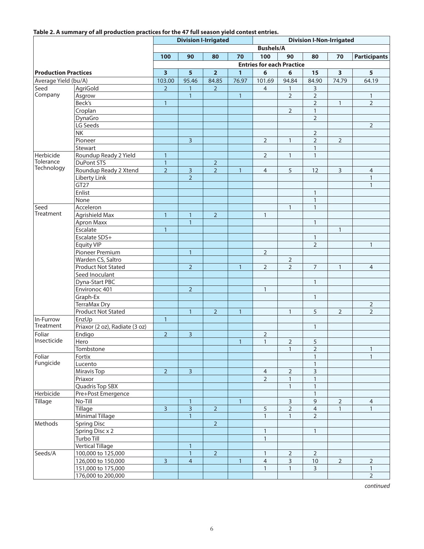#### **Table 2. A summary of all production practices for the 47 full season yield contest entries.**

|                             |                                |                         |                         | <b>Division I-Irrigated</b> |              |                                  |                | <b>Division I-Non-Irrigated</b> |                         |                     |
|-----------------------------|--------------------------------|-------------------------|-------------------------|-----------------------------|--------------|----------------------------------|----------------|---------------------------------|-------------------------|---------------------|
|                             |                                |                         |                         |                             |              | <b>Bushels/A</b>                 |                |                                 |                         |                     |
|                             |                                | 100                     | 90                      | 80                          | 70           | 100                              | 90             | 80                              | 70                      | <b>Participants</b> |
|                             |                                |                         |                         |                             |              | <b>Entries for each Practice</b> |                |                                 |                         |                     |
| <b>Production Practices</b> |                                | $\overline{\mathbf{3}}$ | 5                       | $\overline{2}$              | $\mathbf{1}$ | 6                                | 6              | 15                              | $\overline{\mathbf{3}}$ | 5 <sup>5</sup>      |
| Average Yield (bu/A)        |                                | 103.00                  | 95.46                   | 84.85                       | 76.97        | 101.69                           | 94.84          | 84.90                           | 74.79                   | 64.19               |
| Seed                        | AgriGold                       | $\overline{2}$          | 1                       | $\overline{2}$              |              | $\overline{4}$                   | 1              | 3                               |                         |                     |
| Company                     | Asgrow                         |                         | $\mathbf{1}$            |                             | $\mathbf{1}$ |                                  | $\overline{2}$ | $\overline{2}$                  |                         | $\mathbf{1}$        |
|                             | Beck's                         | $\overline{1}$          |                         |                             |              |                                  |                | $\overline{2}$                  | $\mathbf{1}$            | $\overline{2}$      |
|                             | Croplan                        |                         |                         |                             |              |                                  | $\overline{2}$ | $\mathbf{1}$                    |                         |                     |
|                             | DynaGro                        |                         |                         |                             |              |                                  |                | $\overline{2}$                  |                         |                     |
|                             | LG Seeds                       |                         |                         |                             |              |                                  |                |                                 |                         | $\mathbf 2$         |
|                             | <b>ΝK</b>                      |                         |                         |                             |              |                                  |                | $\overline{2}$                  |                         |                     |
|                             |                                |                         | $\overline{3}$          |                             |              |                                  |                | $\overline{2}$                  | $\overline{2}$          |                     |
|                             | Pioneer                        |                         |                         |                             |              | $\overline{2}$                   | $\mathbf{1}$   | $\mathbf{1}$                    |                         |                     |
|                             | Stewart                        |                         |                         |                             |              |                                  |                |                                 |                         |                     |
| Herbicide<br>Tolerance      | Roundup Ready 2 Yield          | $\mathbf{1}$            |                         |                             |              | $\overline{2}$                   | $\mathbf{1}$   | $\mathbf{1}$                    |                         |                     |
| Technology                  | DuPont STS                     | $\mathbf{1}$            |                         | $\overline{2}$              |              |                                  |                |                                 |                         |                     |
|                             | Roundup Ready 2 Xtend          | $\overline{2}$          | $\overline{3}$          | $\overline{2}$              | $\mathbf{1}$ | $\overline{4}$                   | 5              | 12                              | $\overline{3}$          | $\overline{4}$      |
|                             | Liberty Link                   |                         | $\overline{2}$          |                             |              |                                  |                |                                 |                         | $\mathbf{1}$        |
|                             | GT <sub>27</sub>               |                         |                         |                             |              |                                  |                |                                 |                         | $\mathbf{1}$        |
|                             | Enlist                         |                         |                         |                             |              |                                  |                | $\mathbf{1}$                    |                         |                     |
|                             | None                           |                         |                         |                             |              |                                  |                | $\mathbf{1}$                    |                         |                     |
| Seed                        | Acceleron                      |                         |                         |                             |              |                                  | $\mathbf{1}$   | $\mathbf{1}$                    |                         |                     |
| Treatment                   | Agrishield Max                 | $\overline{1}$          | $\mathbf{1}$            | $\overline{2}$              |              | $\mathbf{1}$                     |                |                                 |                         |                     |
|                             | Apron Maxx                     |                         | $\mathbf{1}$            |                             |              |                                  |                | $\mathbf{1}$                    |                         |                     |
|                             | Escalate                       | $\mathbf{1}$            |                         |                             |              |                                  |                |                                 | $\mathbf{1}$            |                     |
|                             | Escalate SDS+                  |                         |                         |                             |              |                                  |                | $\mathbf{1}$                    |                         |                     |
|                             | <b>Equity VIP</b>              |                         |                         |                             |              |                                  |                | $\overline{2}$                  |                         | $\mathbf{1}$        |
|                             | Pioneer Premium                |                         | $\mathbf{1}$            |                             |              | $\overline{2}$                   |                |                                 |                         |                     |
|                             | Warden CS, Saltro              |                         |                         |                             |              |                                  | $\overline{2}$ |                                 |                         |                     |
|                             | Product Not Stated             |                         | $\overline{2}$          |                             | $\mathbf{1}$ | $\overline{2}$                   | $\overline{2}$ | $\overline{7}$                  | $\mathbf{1}$            | $\overline{4}$      |
|                             | Seed Inoculant                 |                         |                         |                             |              |                                  |                |                                 |                         |                     |
|                             | Dyna-Start PBC                 |                         |                         |                             |              |                                  |                | $\mathbf{1}$                    |                         |                     |
|                             | Environoc 401                  |                         | $\overline{2}$          |                             |              | $\mathbf{1}$                     |                |                                 |                         |                     |
|                             | Graph-Ex                       |                         |                         |                             |              |                                  |                | $\mathbf{1}$                    |                         |                     |
|                             | TerraMax Dry                   |                         |                         |                             |              |                                  |                |                                 |                         | $\mathbf 2$         |
|                             | Product Not Stated             |                         | $\mathbf{1}$            | $\overline{2}$              | $\mathbf{1}$ |                                  | $\mathbf{1}$   | 5                               | $\overline{2}$          | $\overline{2}$      |
| In-Furrow                   | EnzUp                          | $\mathbf{1}$            |                         |                             |              |                                  |                |                                 |                         |                     |
| Treatment                   | Priaxor (2 oz), Radiate (3 oz) |                         |                         |                             |              |                                  |                | $\mathbf{1}$                    |                         |                     |
| Foliar                      |                                |                         |                         |                             |              |                                  |                |                                 |                         |                     |
| Insecticide                 | Endigo                         | $\overline{2}$          | $\overline{\mathbf{3}}$ |                             |              | $\overline{2}$                   |                |                                 |                         |                     |
|                             | Hero                           |                         |                         |                             | $\mathbf{1}$ | $\mathbf{1}$                     | $\overline{2}$ | 5                               |                         |                     |
|                             | Tombstone                      |                         |                         |                             |              |                                  | $\mathbf{1}$   | $\overline{2}$                  |                         | $\mathbf{1}$        |
| Foliar<br>Fungicide         | Fortix                         |                         |                         |                             |              |                                  |                | $\mathbf{1}$                    |                         | $\mathbf{1}$        |
|                             | Lucento                        |                         |                         |                             |              |                                  |                | $\mathbf{1}$                    |                         |                     |
|                             | Miravis Top                    | $\overline{2}$          | $\overline{3}$          |                             |              | 4                                | $\overline{2}$ | 3                               |                         |                     |
|                             | Priaxor                        |                         |                         |                             |              | $\overline{2}$                   | $\mathbf{1}$   | $\mathbf{1}$                    |                         |                     |
|                             | Quadris Top SBX                |                         |                         |                             |              |                                  | $\mathbf{1}$   | $\mathbf{1}$                    |                         |                     |
| Herbicide                   | Pre+Post Emergence             |                         |                         |                             |              |                                  |                | $\mathbf{1}$                    |                         |                     |
| Tillage                     | No-Till                        |                         | $\mathbf{1}$            |                             | $\mathbf{1}$ |                                  | 3              | $\mathsf 9$                     | $\mathbf 2$             | $\overline{4}$      |
|                             | Tillage                        | $\overline{3}$          | $\overline{\mathbf{3}}$ | $\overline{2}$              |              | 5                                | 2              | $\overline{4}$                  | $\mathbf{1}$            | $\mathbf{1}$        |
|                             | Minimal Tillage                |                         | $\mathbf{1}$            |                             |              | $\mathbf{1}$                     | $\mathbf{1}$   | $\overline{2}$                  |                         |                     |
| Methods                     | <b>Spring Disc</b>             |                         |                         | $\overline{2}$              |              |                                  |                |                                 |                         |                     |
|                             | Spring Disc x 2                |                         |                         |                             |              | $\mathbf{1}$                     |                | $\mathbf{1}$                    |                         |                     |
|                             | Turbo Till                     |                         |                         |                             |              | $\mathbf{1}$                     |                |                                 |                         |                     |
|                             | <b>Vertical Tillage</b>        |                         | $\mathbf{1}$            |                             |              |                                  |                |                                 |                         |                     |
| Seeds/A                     | 100,000 to 125,000             |                         | $\mathbf{1}$            | $\overline{2}$              |              | $\mathbf{1}$                     | $\overline{2}$ | $\overline{2}$                  |                         |                     |
|                             | 126,000 to 150,000             | 3                       | $\overline{4}$          |                             | $\mathbf{1}$ | $\overline{4}$                   | 3              | 10                              | $\mathbf 2$             | $\mathbf 2$         |
|                             | 151,000 to 175,000             |                         |                         |                             |              | $\mathbf{1}$                     | $\mathbf{1}$   | $\overline{3}$                  |                         | $\mathbf{1}$        |
|                             | 176,000 to 200,000             |                         |                         |                             |              |                                  |                |                                 |                         | $\overline{2}$      |
|                             |                                |                         |                         |                             |              |                                  |                |                                 |                         |                     |

*continued*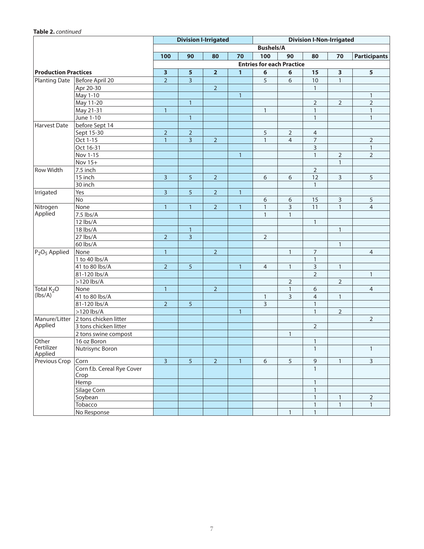#### **Table 2.** *continued*

|                             |                                    |                         |                         | <b>Division I-Irrigated</b> |              |                  |                                  | <b>Division I-Non-Irrigated</b> |                         |                         |
|-----------------------------|------------------------------------|-------------------------|-------------------------|-----------------------------|--------------|------------------|----------------------------------|---------------------------------|-------------------------|-------------------------|
|                             |                                    |                         |                         |                             |              | <b>Bushels/A</b> |                                  |                                 |                         |                         |
|                             |                                    | 100                     | 90                      | 80                          | 70           | 100              | 90                               | 80                              | 70                      | <b>Participants</b>     |
|                             |                                    |                         |                         |                             |              |                  | <b>Entries for each Practice</b> |                                 |                         |                         |
| <b>Production Practices</b> |                                    | $\overline{\mathbf{3}}$ | $\overline{\mathbf{5}}$ | $\overline{\mathbf{2}}$     | $\mathbf{1}$ | 6                | 6                                | 15                              | $\overline{\mathbf{3}}$ | $\overline{\mathbf{5}}$ |
| <b>Planting Date</b>        | Before April 20                    | $\overline{2}$          | $\overline{3}$          |                             |              | 5                | 6                                | 10                              | $\mathbf{1}$            |                         |
|                             | Apr 20-30                          |                         |                         | $\overline{2}$              |              |                  |                                  | $\mathbf{1}$                    |                         |                         |
|                             | May 1-10                           |                         |                         |                             | $\mathbf{1}$ |                  |                                  |                                 |                         | $\mathbf{1}$            |
|                             | May 11-20                          |                         | $\mathbf{1}$            |                             |              |                  |                                  | $\overline{2}$                  | $\overline{2}$          | $\overline{2}$          |
|                             | May 21-31                          | $\mathbf{1}$            |                         |                             |              | $\mathbf{1}$     |                                  | $\mathbf{1}$                    |                         | $\mathbf{1}$            |
|                             | June 1-10                          |                         | $\mathbf{1}$            |                             |              |                  |                                  | $\mathbf{1}$                    |                         | $\mathbf{1}$            |
| <b>Harvest Date</b>         | before Sept 14                     |                         |                         |                             |              |                  |                                  |                                 |                         |                         |
|                             | Sept 15-30                         | $\overline{2}$          | $\overline{2}$          |                             |              | 5                | $\mathbf 2$                      | 4                               |                         |                         |
|                             | Oct 1-15                           | $\overline{1}$          | $\overline{3}$          | $\overline{2}$              |              | $\mathbf{1}$     | $\overline{4}$                   | $\overline{7}$                  |                         | $\overline{2}$          |
|                             | Oct 16-31                          |                         |                         |                             |              |                  |                                  | 3                               |                         | $\mathbf{1}$            |
|                             | Nov 1-15                           |                         |                         |                             | $\mathbf{1}$ |                  |                                  | $\mathbf{1}$                    | $\sqrt{2}$              | $\overline{2}$          |
|                             | Nov 15+                            |                         |                         |                             |              |                  |                                  |                                 | $\mathbf{1}$            |                         |
| <b>Row Width</b>            | 7.5 inch                           |                         |                         |                             |              |                  |                                  | $\overline{2}$                  |                         |                         |
|                             | 15 inch                            | $\overline{3}$          | 5                       | $\overline{2}$              |              | 6                | 6                                | 12                              | 3                       | $\sqrt{5}$              |
|                             | 30 inch                            |                         |                         |                             |              |                  |                                  | $\mathbf{1}$                    |                         |                         |
| Irrigated                   | Yes                                | $\overline{3}$          | 5                       | $\overline{2}$              | $\mathbf{1}$ |                  |                                  |                                 |                         |                         |
|                             | No                                 |                         |                         |                             |              | 6                | 6                                | 15                              | 3                       | $\sqrt{5}$              |
| Nitrogen                    | None                               | $\mathbf{1}$            | $\mathbf{1}$            | $\overline{2}$              | $\mathbf{1}$ | $\mathbf{1}$     | 3                                | 11                              | $\mathbf{1}$            | $\overline{4}$          |
| Applied                     | 7.5 lbs/A                          |                         |                         |                             |              | $\mathbf{1}$     | $\mathbf{1}$                     |                                 |                         |                         |
|                             | 12 lbs/A                           |                         |                         |                             |              |                  |                                  | $\mathbf{1}$                    |                         |                         |
|                             | 18 lbs/A                           |                         | $\mathbf{1}$            |                             |              |                  |                                  |                                 | $\mathbf{1}$            |                         |
|                             | 27 lbs/A                           | $\overline{2}$          | $\overline{3}$          |                             |              | $\overline{2}$   |                                  |                                 |                         |                         |
|                             | 60 lbs/A                           |                         |                         |                             |              |                  |                                  |                                 | $\mathbf{1}$            |                         |
| $P_2O_5$ Applied            | None                               | $\mathbf{1}$            |                         | $\overline{2}$              |              |                  | $\mathbf{1}$                     | $\overline{7}$                  |                         | $\overline{4}$          |
|                             | 1 to 40 lbs/A                      |                         |                         |                             |              |                  |                                  | $\mathbf{1}$                    |                         |                         |
|                             | 41 to 80 lbs/A                     | $\overline{2}$          | $\overline{5}$          |                             | $\mathbf{1}$ | $\overline{4}$   | $\mathbf{1}$                     | 3                               | $\mathbf{1}$            |                         |
|                             | 81-120 lbs/A                       |                         |                         |                             |              |                  |                                  | $\overline{2}$                  |                         | $\mathbf{1}$            |
|                             | $>120$ lbs/A                       |                         |                         |                             |              |                  | $\overline{2}$                   |                                 | $\overline{2}$          |                         |
| Total K <sub>2</sub> O      | None                               | $\mathbf{1}$            |                         | $\overline{2}$              |              |                  | $\mathbf{1}$                     | 6                               |                         | $\overline{4}$          |
| (lbs/A)                     | 41 to 80 lbs/A                     |                         |                         |                             |              | $\mathbf{1}$     | 3                                | $\overline{4}$                  | $\mathbf{1}$            |                         |
|                             | 81-120 lbs/A                       | $\overline{2}$          | 5                       |                             |              | $\mathsf{3}$     |                                  | $\mathbf{1}$                    |                         |                         |
|                             | $>120$ lbs/A                       |                         |                         |                             | $\mathbf{1}$ |                  |                                  | $\mathbf{1}$                    | $\sqrt{2}$              |                         |
| Manure/Litter               | 2 tons chicken litter              |                         |                         |                             |              |                  |                                  |                                 |                         | $\overline{2}$          |
| Applied                     | 3 tons chicken litter              |                         |                         |                             |              |                  |                                  | $\overline{2}$                  |                         |                         |
|                             | 2 tons swine compost               |                         |                         |                             |              |                  | $\mathbf{1}$                     |                                 |                         |                         |
| Other                       | 16 oz Boron                        |                         |                         |                             |              |                  |                                  | $\mathbf{1}$                    |                         |                         |
| Fertilizer<br>Applied       | Nutrisync Boron                    |                         |                         |                             |              |                  |                                  | 1                               |                         | 1                       |
| Previous Crop               | Corn                               | $\overline{3}$          | $\overline{5}$          | $\overline{2}$              | $\mathbf{1}$ | 6                | 5                                | $\mathsf 9$                     | $\mathbf{1}$            | $\mathbf{3}$            |
|                             | Corn f.b. Cereal Rye Cover<br>Crop |                         |                         |                             |              |                  |                                  | $\mathbf{1}$                    |                         |                         |
|                             | Hemp                               |                         |                         |                             |              |                  |                                  | $\mathbf{1}$                    |                         |                         |
|                             | Silage Corn                        |                         |                         |                             |              |                  |                                  | $\mathbf{1}$                    |                         |                         |
|                             | Soybean                            |                         |                         |                             |              |                  |                                  | $\mathbf{1}$                    | $\mathbf{1}$            | $\overline{2}$          |
|                             | Tobacco                            |                         |                         |                             |              |                  |                                  | $\mathbf{1}$                    | $\overline{1}$          | $\overline{1}$          |
|                             | No Response                        |                         |                         |                             |              |                  | $\mathbf{1}$                     | $\mathbf{1}$                    |                         |                         |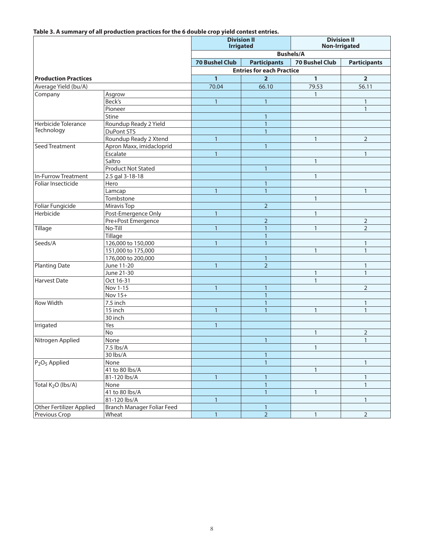**Table 3. A summary of all production practices for the 6 double crop yield contest entries.**

|                                       |                            | <b>Irrigated</b>      | <b>Division II</b>               | <b>Division II</b><br><b>Non-Irrigated</b> |                     |  |
|---------------------------------------|----------------------------|-----------------------|----------------------------------|--------------------------------------------|---------------------|--|
|                                       |                            |                       |                                  | <b>Bushels/A</b>                           |                     |  |
|                                       |                            | <b>70 Bushel Club</b> | <b>Participants</b>              | <b>70 Bushel Club</b>                      | <b>Participants</b> |  |
|                                       |                            |                       | <b>Entries for each Practice</b> |                                            |                     |  |
| <b>Production Practices</b>           |                            | $\mathbf{1}$          | $\overline{2}$                   | $\mathbf{1}$                               | $\overline{2}$      |  |
| Average Yield (bu/A)                  |                            | 70.04                 | 66.10                            | 79.53                                      | 56.11               |  |
| Company                               | Asgrow                     |                       |                                  | $\mathbf{1}$                               |                     |  |
|                                       | Beck's                     | $\mathbf{1}$          | $\mathbf{1}$                     |                                            | $\mathbf{1}$        |  |
|                                       | Pioneer                    |                       |                                  |                                            | $\mathbf{1}$        |  |
|                                       | Stine                      |                       | $\overline{1}$                   |                                            |                     |  |
| Herbicide Tolerance                   | Roundup Ready 2 Yield      |                       | $\mathbf{1}$                     |                                            |                     |  |
| Technology                            | DuPont STS                 |                       | $\mathbf{1}$                     |                                            |                     |  |
|                                       | Roundup Ready 2 Xtend      | $\mathbf{1}$          |                                  | $\mathbf{1}$                               | $\overline{2}$      |  |
| Seed Treatment                        | Apron Maxx, imidacloprid   |                       | $\overline{1}$                   |                                            |                     |  |
|                                       | Escalate                   | $\mathbf{1}$          |                                  |                                            | $\mathbf{1}$        |  |
|                                       | Saltro                     |                       |                                  | $\mathbf{1}$                               |                     |  |
|                                       | <b>Product Not Stated</b>  |                       | $\overline{1}$                   |                                            |                     |  |
| In-Furrow Treatment                   | 2.5 gal 3-18-18            |                       |                                  | $\mathbf{1}$                               |                     |  |
| Foliar Insecticide                    | Hero                       |                       | $\overline{1}$                   |                                            |                     |  |
|                                       | Lamcap                     | $\mathbf{1}$          | $\overline{1}$                   |                                            | $\mathbf{1}$        |  |
|                                       | Tombstone                  |                       |                                  | $\mathbf{1}$                               |                     |  |
| Foliar Fungicide                      | Miravis Top                |                       | $\overline{2}$                   |                                            |                     |  |
| Herbicide                             | Post-Emergence Only        | $\overline{1}$        |                                  | $\mathbf{1}$                               |                     |  |
|                                       | Pre+Post Emergence         |                       | $\overline{2}$                   |                                            | $\overline{2}$      |  |
| Tillage                               | No-Till                    | $\mathbf{1}$          | $\mathbf{1}$                     | $\mathbf{1}$                               | $\overline{2}$      |  |
|                                       | <b>Tillage</b>             |                       | $\overline{1}$                   |                                            |                     |  |
| Seeds/A                               | 126,000 to 150,000         | $\mathbf{1}$          | $\overline{1}$                   |                                            | $\mathbf{1}$        |  |
|                                       | 151,000 to 175,000         |                       |                                  | $\mathbf{1}$                               | $\mathbf{1}$        |  |
|                                       | 176,000 to 200,000         |                       | $\mathbf{1}$                     |                                            |                     |  |
| <b>Planting Date</b>                  | June 11-20                 | $\mathbf{1}$          | $\overline{2}$                   |                                            | $\mathbf{1}$        |  |
|                                       | June 21-30                 |                       |                                  | $\mathbf{1}$                               | $\mathbf{1}$        |  |
| Harvest Date                          | Oct 16-31                  |                       |                                  | $\mathbf{1}$                               |                     |  |
|                                       | Nov 1-15                   | $\mathbf{1}$          | $\mathbf{1}$                     |                                            | $\overline{2}$      |  |
|                                       | Nov 15+                    |                       | $\overline{1}$                   |                                            |                     |  |
| <b>Row Width</b>                      | 7.5 inch                   |                       | $\overline{1}$                   |                                            | $\mathbf{1}$        |  |
|                                       | 15 inch                    | $\mathbf{1}$          | $\mathbf{1}$                     | $\mathbf{1}$                               | $\mathbf{1}$        |  |
|                                       | 30 inch                    |                       |                                  |                                            |                     |  |
| Irrigated                             | Yes                        | $\mathbf{1}$          |                                  |                                            |                     |  |
|                                       | No                         |                       |                                  | $\mathbf{1}$                               | $\overline{2}$      |  |
| Nitrogen Applied                      | None                       |                       | $\mathbf{1}$                     |                                            | $\mathbf{1}$        |  |
|                                       | 7.5 lbs/A                  |                       |                                  |                                            |                     |  |
|                                       | 30 lbs/A                   |                       | $\mathbf{1}$                     |                                            |                     |  |
| P <sub>2</sub> O <sub>5</sub> Applied | None                       |                       | $\overline{1}$                   |                                            | $\mathbf{1}$        |  |
|                                       | 41 to 80 lbs/A             |                       |                                  | $\mathbf{1}$                               |                     |  |
|                                       | 81-120 lbs/A               | $\mathbf{1}$          | $\overline{1}$                   |                                            | $\mathbf{1}$        |  |
| Total K <sub>2</sub> O (lbs/A)        | None                       |                       | $\mathbf{1}$                     |                                            | $\mathbf{1}$        |  |
|                                       | 41 to 80 lbs/A             |                       | $\overline{1}$                   | $\mathbf{1}$                               |                     |  |
|                                       | 81-120 lbs/A               | $\mathbf{1}$          |                                  |                                            | $\mathbbm{1}$       |  |
| Other Fertilizer Applied              | Branch Manager Foliar Feed |                       | $\overline{1}$                   |                                            |                     |  |
| Previous Crop                         | Wheat                      | $\mathbf{1}$          | $\mathbf 2$                      | $\mathbf{1}$                               | $\overline{2}$      |  |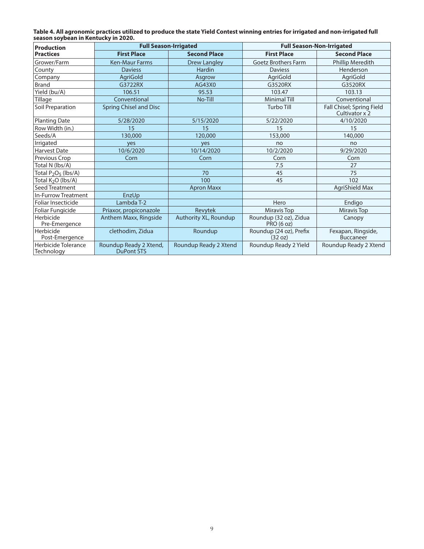| Table 4. All agronomic practices utilized to produce the state Yield Contest winning entries for irrigated and non-irrigated full |  |
|-----------------------------------------------------------------------------------------------------------------------------------|--|
| season sovbean in Kentucky in 2020.                                                                                               |  |

| <b>Production</b>                 | <b>Full Season-Irrigated</b>                |                       | <b>Full Season-Non-Irrigated</b>            |                                             |  |
|-----------------------------------|---------------------------------------------|-----------------------|---------------------------------------------|---------------------------------------------|--|
| <b>Practices</b>                  | <b>First Place</b>                          | <b>Second Place</b>   | <b>First Place</b>                          | <b>Second Place</b>                         |  |
| Grower/Farm                       | <b>Ken-Maur Farms</b>                       | <b>Drew Langley</b>   | <b>Goetz Brothers Farm</b>                  | <b>Phillip Meredith</b>                     |  |
| County                            | <b>Daviess</b>                              | <b>Hardin</b>         | <b>Daviess</b>                              | Henderson                                   |  |
| Company                           | AgriGold                                    | Asgrow                | AgriGold                                    | AgriGold                                    |  |
| <b>Brand</b>                      | G3722RX                                     | AG43X0                | G3520RX                                     | G3520RX                                     |  |
| Yield (bu/A)                      | 106.51                                      | 95.53                 | 103.47                                      | 103.13                                      |  |
| Tillage                           | Conventional                                | No-Till               | <b>Minimal Till</b>                         | Conventional                                |  |
| Soil Preparation                  | <b>Spring Chisel and Disc</b>               |                       | <b>Turbo Till</b>                           | Fall Chisel; Spring Field<br>Cultivator x 2 |  |
| <b>Planting Date</b>              | 5/28/2020                                   | 5/15/2020             | 5/22/2020                                   | 4/10/2020                                   |  |
| Row Width (in.)                   | 15                                          | 15                    | 15                                          | 15                                          |  |
| Seeds/A                           | 130,000                                     | 120,000               | 153,000                                     | 140,000                                     |  |
| Irrigated                         | yes                                         | yes                   | no                                          | no                                          |  |
| <b>Harvest Date</b>               | 10/6/2020                                   | 10/14/2020            | 10/2/2020                                   | 9/29/2020                                   |  |
| Previous Crop                     | Corn                                        | Corn                  | Corn                                        | Corn                                        |  |
| Total N (lbs/A)                   |                                             |                       | 7.5                                         | 27                                          |  |
| Total $P_2O_5$ (lbs/A)            |                                             | 70                    | 45                                          | 75                                          |  |
| Total K <sub>2</sub> O (lbs/A)    |                                             | 100                   | 45                                          | 102                                         |  |
| Seed Treatment                    |                                             | <b>Apron Maxx</b>     |                                             | AgriShield Max                              |  |
| <b>In-Furrow Treatment</b>        | EnzUp                                       |                       |                                             |                                             |  |
| Foliar Insecticide                | Lambda T-2                                  |                       | Hero                                        | Endigo                                      |  |
| Foliar Fungicide                  | Priaxor, propiconazole                      | Revytek               | Miravis Top                                 | Miravis Top                                 |  |
| Herbicide<br>Pre-Emergence        | Anthem Maxx, Ringside                       | Authority XL, Roundup | Roundup (32 oz), Zidua<br><b>PRO (6 oz)</b> | Canopy                                      |  |
| Herbicide<br>Post-Emergence       | clethodim, Zidua                            | Roundup               | Roundup (24 oz), Prefix<br>(32 oz)          | Fexapan, Ringside,<br><b>Buccaneer</b>      |  |
| Herbicide Tolerance<br>Technology | Roundup Ready 2 Xtend,<br><b>DuPont STS</b> | Roundup Ready 2 Xtend | Roundup Ready 2 Yield                       | Roundup Ready 2 Xtend                       |  |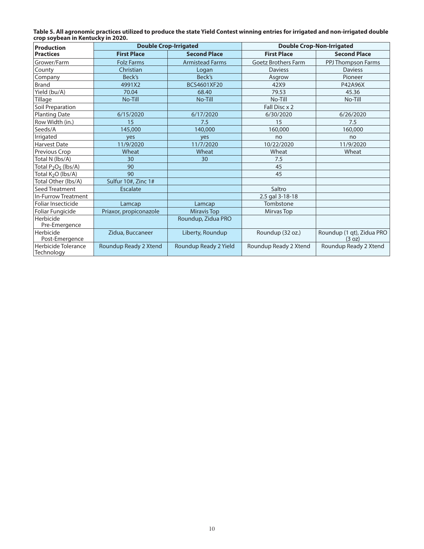| Table 5. All agronomic practices utilized to produce the state Yield Contest winning entries for irrigated and non-irrigated double |  |
|-------------------------------------------------------------------------------------------------------------------------------------|--|
| crop soybean in Kentucky in 2020.                                                                                                   |  |

| <b>Production</b>                 | <b>Double Crop-Irrigated</b> |                        | <b>Double Crop-Non-Irrigated</b> |                                     |  |
|-----------------------------------|------------------------------|------------------------|----------------------------------|-------------------------------------|--|
| <b>Practices</b>                  | <b>First Place</b>           | <b>Second Place</b>    | <b>First Place</b>               | <b>Second Place</b>                 |  |
| Grower/Farm                       | <b>Folz Farms</b>            | <b>Armistead Farms</b> | <b>Goetz Brothers Farm</b>       | PPJ Thompson Farms                  |  |
| County                            | Christian                    | Logan                  | <b>Daviess</b>                   | <b>Daviess</b>                      |  |
| Company                           | Beck's                       | Beck's                 | Asgrow                           | Pioneer                             |  |
| <b>Brand</b>                      | 4991X2                       | BCS4601XF20            | 42X9                             | P42A96X                             |  |
| Yield (bu/A)                      | 70.04                        | 68.40                  | 79.53                            | 45.36                               |  |
| Tillage                           | No-Till                      | No-Till                | No-Till                          | No-Till                             |  |
| Soil Preparation                  |                              |                        | Fall Disc x 2                    |                                     |  |
| <b>Planting Date</b>              | 6/15/2020                    | 6/17/2020              | 6/30/2020                        | 6/26/2020                           |  |
| Row Width (in.)                   | 15                           | 7.5                    | 15                               | 7.5                                 |  |
| Seeds/A                           | 145,000                      | 140,000                | 160,000                          | 160,000                             |  |
| Irrigated                         | yes                          | yes                    | no                               | no                                  |  |
| <b>Harvest Date</b>               | 11/9/2020                    | 11/7/2020              | 10/22/2020                       | 11/9/2020                           |  |
| Previous Crop                     | Wheat                        | Wheat                  | Wheat                            | Wheat                               |  |
| Total N (lbs/A)                   | 30                           | 30                     | 7.5                              |                                     |  |
| Total $P_2O_5$ (lbs/A)            | 90                           |                        | 45                               |                                     |  |
| Total K <sub>2</sub> O (Ibs/A)    | 90                           |                        | 45                               |                                     |  |
| Total Other (lbs/A)               | Sulfur 10#, Zinc 1#          |                        |                                  |                                     |  |
| Seed Treatment                    | <b>Escalate</b>              |                        | Saltro                           |                                     |  |
| <b>In-Furrow Treatment</b>        |                              |                        | 2.5 gal 3-18-18                  |                                     |  |
| Foliar Insecticide                | Lamcap                       | Lamcap                 | Tombstone                        |                                     |  |
| Foliar Fungicide                  | Priaxor, propiconazole       | <b>Miravis Top</b>     | Mirvas Top                       |                                     |  |
| Herbicide<br>Pre-Emergence        |                              | Roundup, Zidua PRO     |                                  |                                     |  |
| Herbicide<br>Post-Emergence       | Zidua, Buccaneer             | Liberty, Roundup       | Roundup (32 oz.)                 | Roundup (1 qt), Zidua PRO<br>(3 oz) |  |
| Herbicide Tolerance<br>Technology | Roundup Ready 2 Xtend        | Roundup Ready 2 Yield  | Roundup Ready 2 Xtend            | Roundup Ready 2 Xtend               |  |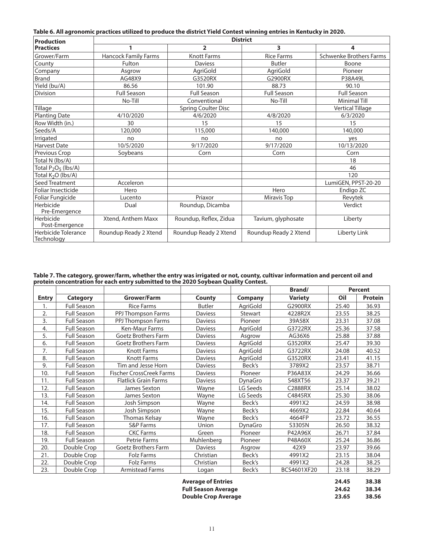| Table 6. All agronomic practices utilized to produce the district Yield Contest winning entries in Kentucky in 2020. |  |  |  |
|----------------------------------------------------------------------------------------------------------------------|--|--|--|
|                                                                                                                      |  |  |  |

| <b>Production</b>                 | <b>District</b>             |                            |                       |                                |  |  |  |
|-----------------------------------|-----------------------------|----------------------------|-----------------------|--------------------------------|--|--|--|
| <b>Practices</b>                  |                             | $\overline{\mathbf{2}}$    | 3                     | 4                              |  |  |  |
| Grower/Farm                       | <b>Hancock Family Farms</b> | <b>Knott Farms</b>         | <b>Rice Farms</b>     | <b>Schwenke Brothers Farms</b> |  |  |  |
| County                            | Fulton                      | <b>Daviess</b>             | <b>Butler</b>         | Boone                          |  |  |  |
| Company                           | Asgrow                      | AgriGold                   | AgriGold              | Pioneer                        |  |  |  |
| <b>Brand</b>                      | AG48X9                      | G3520RX                    | G2900RX               | P38A49L                        |  |  |  |
| Yield (bu/A)                      | 86.56                       | 101.90                     | 88.73                 | 90.10                          |  |  |  |
| Division                          | <b>Full Season</b>          | <b>Full Season</b>         | <b>Full Season</b>    | <b>Full Season</b>             |  |  |  |
|                                   | No-Till                     | Conventional               | No-Till               | <b>Minimal Till</b>            |  |  |  |
| Tillage                           |                             | <b>Spring Coulter Disc</b> |                       | <b>Vertical Tillage</b>        |  |  |  |
| <b>Planting Date</b>              | 4/10/2020                   | 4/6/2020                   | 4/8/2020              | 6/3/2020                       |  |  |  |
| Row Width (in.)                   | 30                          | 15                         | 15                    | 15                             |  |  |  |
| Seeds/A                           | 120,000                     | 115,000                    | 140,000               | 140,000                        |  |  |  |
| Irrigated                         | no                          | no                         | no                    | yes                            |  |  |  |
| <b>Harvest Date</b>               | 10/5/2020                   | 9/17/2020                  | 9/17/2020             | 10/13/2020                     |  |  |  |
| Previous Crop                     | Soybeans                    | Corn                       | Corn                  | Corn                           |  |  |  |
| Total N (lbs/A)                   |                             |                            |                       | 18                             |  |  |  |
| Total $P_2O_5$ (lbs/A)            |                             |                            |                       | 46                             |  |  |  |
| Total K <sub>2</sub> O (lbs/A)    |                             |                            |                       | 120                            |  |  |  |
| Seed Treatment                    | Acceleron                   |                            |                       | LumiGEN, PPST-20-20            |  |  |  |
| Foliar Insecticide                | Hero                        |                            | Hero                  | Endigo ZC                      |  |  |  |
| Foliar Fungicide                  | Lucento                     | Priaxor                    | Miravis Top           | Revytek                        |  |  |  |
| Herbicide<br>Pre-Emergence        | Dual                        | Roundup, Dicamba           |                       | Verdict                        |  |  |  |
| Herbicide<br>Post-Emergence       | Xtend, Anthem Maxx          | Roundup, Reflex, Zidua     | Tavium, glyphosate    | Liberty                        |  |  |  |
| Herbicide Tolerance<br>Technology | Roundup Ready 2 Xtend       | Roundup Ready 2 Xtend      | Roundup Ready 2 Xtend | Liberty Link                   |  |  |  |

**Table 7. The category, grower/farm, whether the entry was irrigated or not, county, cultivar information and percent oil and protein concentration for each entry submitted to the 2020 Soybean Quality Contest.**

|              |                    |                                 |                |                | Brand/         |       | <b>Percent</b> |
|--------------|--------------------|---------------------------------|----------------|----------------|----------------|-------|----------------|
| <b>Entry</b> | <b>Category</b>    | Grower/Farm                     | <b>County</b>  | <b>Company</b> | <b>Variety</b> | Oil   | <b>Protein</b> |
| 1.           | <b>Full Season</b> | <b>Rice Farms</b>               | <b>Butler</b>  | AgriGold       | G2900RX        | 25.40 | 36.93          |
| 2.           | Full Season        | PPJ Thompson Farms              | <b>Daviess</b> | Stewart        | 4228R2X        | 23.55 | 38.25          |
| 3.           | <b>Full Season</b> | PPJ Thompson Farms              | <b>Daviess</b> | Pioneer        | 39A58X         | 23.31 | 37.08          |
| 4.           | Full Season        | Ken-Maur Farms                  | <b>Daviess</b> | AgriGold       | G3722RX        | 25.36 | 37.58          |
| 5.           | <b>Full Season</b> | <b>Goetz Brothers Farm</b>      | <b>Daviess</b> | Asgrow         | AG36X6         | 25.88 | 37.88          |
| 6.           | Full Season        | <b>Goetz Brothers Farm</b>      | <b>Daviess</b> | AgriGold       | G3520RX        | 25.47 | 39.30          |
| 7.           | <b>Full Season</b> | <b>Knott Farms</b>              | <b>Daviess</b> | AgriGold       | G3722RX        | 24.08 | 40.52          |
| 8.           | Full Season        | <b>Knott Farms</b>              | <b>Daviess</b> | AgriGold       | G3520RX        | 23.41 | 41.15          |
| 9.           | <b>Full Season</b> | Tim and Jesse Horn              | <b>Daviess</b> | Beck's         | 3789X2         | 23.57 | 38.71          |
| 10.          | <b>Full Season</b> | <b>Fischer CrossCreek Farms</b> | <b>Daviess</b> | Pioneer        | P36A83X        | 24.29 | 36.66          |
| 11.          | Full Season        | <b>Flatlick Grain Farms</b>     | <b>Daviess</b> | DynaGro        | S48XT56        | 23.37 | 39.21          |
| 12.          | <b>Full Season</b> | James Sexton                    | Wayne          | LG Seeds       | C2888RX        | 25.14 | 38.02          |
| 13.          | <b>Full Season</b> | James Sexton                    | Wayne          | LG Seeds       | C4845RX        | 25.30 | 38.06          |
| 14.          | <b>Full Season</b> | Josh Simpson                    | Wayne          | Beck's         | 4991X2         | 24.59 | 38.98          |
| 15.          | Full Season        | Josh Simpson                    | Wayne          | Beck's         | 4669X2         | 22.84 | 40.64          |
| 16.          | <b>Full Season</b> | Thomas Kelsay                   | Wayne          | Beck's         | 4664FP         | 23.72 | 36.55          |
| 17.          | <b>Full Season</b> | <b>S&amp;P Farms</b>            | Union          | DynaGro        | S3305N         | 26.50 | 38.32          |
| 18.          | <b>Full Season</b> | <b>CKC Farms</b>                | Green          | Pioneer        | P42A96X        | 26.71 | 37.84          |
| 19.          | <b>Full Season</b> | Petrie Farms                    | Muhlenberg     | Pioneer        | P48A60X        | 25.24 | 36.86          |
| 20.          | Double Crop        | <b>Goetz Brothers Farm</b>      | <b>Daviess</b> | Asgrow         | 42X9           | 23.97 | 39.66          |
| 21.          | Double Crop        | Folz Farms                      | Christian      | Beck's         | 4991X2         | 23.15 | 38.04          |
| 22.          | Double Crop        | <b>Folz Farms</b>               | Christian      | Beck's         | 4991X2         | 24.28 | 38.25          |
| 23.          | Double Crop        | <b>Armistead Farms</b>          | Logan          | Beck's         | BCS4601XF20    | 23.18 | 38.29          |
|              |                    |                                 |                |                |                |       |                |

| Average of Entries  | 24.45 | 38.38 |
|---------------------|-------|-------|
| Full Season Average | 24.62 | 38.34 |
| Double Crop Average | 23.65 | 38.56 |